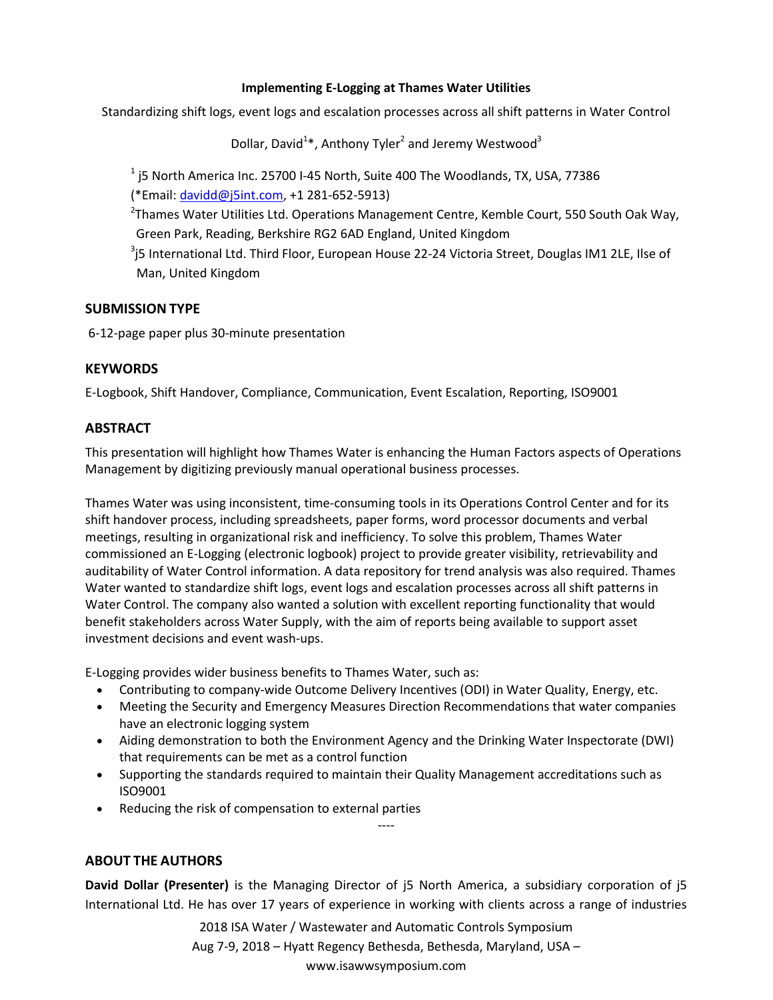#### **Implementing E-Logging at Thames Water Utilities**

Standardizing shift logs, event logs and escalation processes across all shift patterns in Water Control

Dollar, David<sup>1</sup>\*, Anthony Tyler<sup>2</sup> and Jeremy Westwood<sup>3</sup>

 $^1$  j5 North America Inc. 25700 I-45 North, Suite 400 The Woodlands, TX, USA, 77386 (\*Email: davidd@j5int.com, +1 281-652-5913)

<sup>2</sup>Thames Water Utilities Ltd. Operations Management Centre, Kemble Court, 550 South Oak Way, Green Park, Reading, Berkshire RG2 6AD England, United Kingdom

 $^3$ j5 International Ltd. Third Floor, European House 22-24 Victoria Street, Douglas IM1 2LE, Ilse of Man, United Kingdom

#### **SUBMISSION TYPE**

6-12-page paper plus 30-minute presentation

## **KEYWORDS**

E-Logbook, Shift Handover, Compliance, Communication, Event Escalation, Reporting, ISO9001

## **ABSTRACT**

This presentation will highlight how Thames Water is enhancing the Human Factors aspects of Operations Management by digitizing previously manual operational business processes.

Thames Water was using inconsistent, time-consuming tools in its Operations Control Center and for its shift handover process, including spreadsheets, paper forms, word processor documents and verbal meetings, resulting in organizational risk and inefficiency. To solve this problem, Thames Water commissioned an E-Logging (electronic logbook) project to provide greater visibility, retrievability and auditability of Water Control information. A data repository for trend analysis was also required. Thames Water wanted to standardize shift logs, event logs and escalation processes across all shift patterns in Water Control. The company also wanted a solution with excellent reporting functionality that would benefit stakeholders across Water Supply, with the aim of reports being available to support asset investment decisions and event wash-ups.

E-Logging provides wider business benefits to Thames Water, such as:

- Contributing to company-wide Outcome Delivery Incentives (ODI) in Water Quality, Energy, etc.
- Meeting the Security and Emergency Measures Direction Recommendations that water companies have an electronic logging system
- Aiding demonstration to both the Environment Agency and the Drinking Water Inspectorate (DWI) that requirements can be met as a control function
- Supporting the standards required to maintain their Quality Management accreditations such as ISO9001

----

Reducing the risk of compensation to external parties

# **ABOUT THE AUTHORS**

**David Dollar (Presenter)** is the Managing Director of j5 North America, a subsidiary corporation of j5 International Ltd. He has over 17 years of experience in working with clients across a range of industries

> 2018 ISA Water / Wastewater and Automatic Controls Symposium Aug 7-9, 2018 – Hyatt Regency Bethesda, Bethesda, Maryland, USA – www.isawwsymposium.com